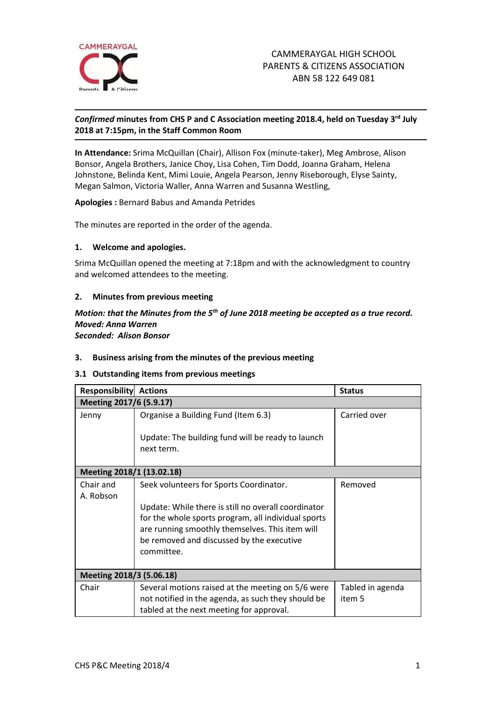

# *Confirmed* **minutes from CHS P and C Association meeting 2018.4, held on Tuesday 3 rd July 2018 at 7:15pm, in the Staff Common Room**

**In Attendance:** Srima McQuillan (Chair), Allison Fox (minute-taker), Meg Ambrose, Alison Bonsor, Angela Brothers, Janice Choy, Lisa Cohen, Tim Dodd, Joanna Graham, Helena Johnstone, Belinda Kent, Mimi Louie, Angela Pearson, Jenny Riseborough, Elyse Sainty, Megan Salmon, Victoria Waller, Anna Warren and Susanna Westling,

**Apologies :** Bernard Babus and Amanda Petrides

The minutes are reported in the order of the agenda.

#### **1. Welcome and apologies.**

Srima McQuillan opened the meeting at 7:18pm and with the acknowledgment to country and welcomed attendees to the meeting.

### **2. Minutes from previous meeting**

### *Motion: that the Minutes from the 5th of June 2018 meeting be accepted as a true record. Moved: Anna Warren Seconded: Alison Bonsor*

### **3. Business arising from the minutes of the previous meeting**

### **3.1 Outstanding items from previous meetings**

| <b>Responsibility</b>     | <b>Actions</b>                                                                                                                                                                                                           | <b>Status</b>    |
|---------------------------|--------------------------------------------------------------------------------------------------------------------------------------------------------------------------------------------------------------------------|------------------|
| Meeting 2017/6 (5.9.17)   |                                                                                                                                                                                                                          |                  |
| Jenny                     | Organise a Building Fund (Item 6.3)                                                                                                                                                                                      | Carried over     |
|                           | Update: The building fund will be ready to launch                                                                                                                                                                        |                  |
|                           | next term.                                                                                                                                                                                                               |                  |
| Meeting 2018/1 (13.02.18) |                                                                                                                                                                                                                          |                  |
| Chair and<br>A. Robson    | Seek volunteers for Sports Coordinator.                                                                                                                                                                                  | Removed          |
|                           | Update: While there is still no overall coordinator<br>for the whole sports program, all individual sports<br>are running smoothly themselves. This item will<br>be removed and discussed by the executive<br>committee. |                  |
| Meeting 2018/3 (5.06.18)  |                                                                                                                                                                                                                          |                  |
| Chair                     | Several motions raised at the meeting on 5/6 were                                                                                                                                                                        | Tabled in agenda |
|                           | not notified in the agenda, as such they should be                                                                                                                                                                       | item 5           |
|                           | tabled at the next meeting for approval.                                                                                                                                                                                 |                  |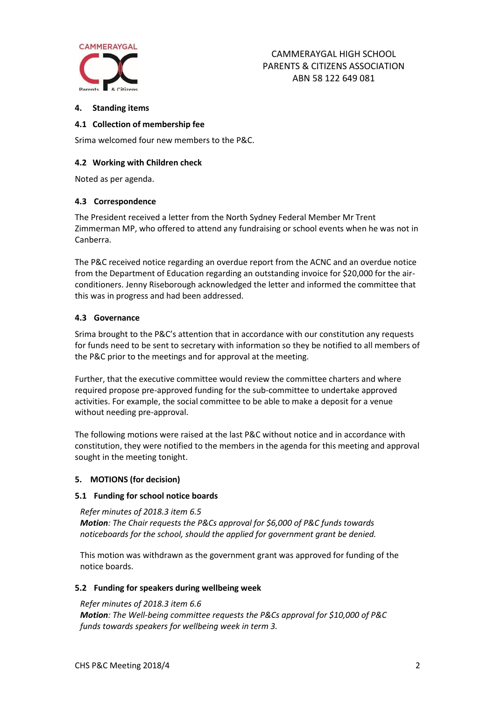

## **4. Standing items**

## **4.1 Collection of membership fee**

Srima welcomed four new members to the P&C.

## **4.2 Working with Children check**

Noted as per agenda.

## **4.3 Correspondence**

The President received a letter from the North Sydney Federal Member Mr Trent Zimmerman MP, who offered to attend any fundraising or school events when he was not in Canberra.

The P&C received notice regarding an overdue report from the ACNC and an overdue notice from the Department of Education regarding an outstanding invoice for \$20,000 for the airconditioners. Jenny Riseborough acknowledged the letter and informed the committee that this was in progress and had been addressed.

## **4.3 Governance**

Srima brought to the P&C's attention that in accordance with our constitution any requests for funds need to be sent to secretary with information so they be notified to all members of the P&C prior to the meetings and for approval at the meeting.

Further, that the executive committee would review the committee charters and where required propose pre-approved funding for the sub-committee to undertake approved activities. For example, the social committee to be able to make a deposit for a venue without needing pre-approval.

The following motions were raised at the last P&C without notice and in accordance with constitution, they were notified to the members in the agenda for this meeting and approval sought in the meeting tonight.

### **5. MOTIONS (for decision)**

### **5.1 Funding for school notice boards**

*Refer minutes of 2018.3 item 6.5 Motion: The Chair requests the P&Cs approval for \$6,000 of P&C funds towards noticeboards for the school, should the applied for government grant be denied.* 

This motion was withdrawn as the government grant was approved for funding of the notice boards.

### **5.2 Funding for speakers during wellbeing week**

*Refer minutes of 2018.3 item 6.6 Motion: The Well-being committee requests the P&Cs approval for \$10,000 of P&C funds towards speakers for wellbeing week in term 3.*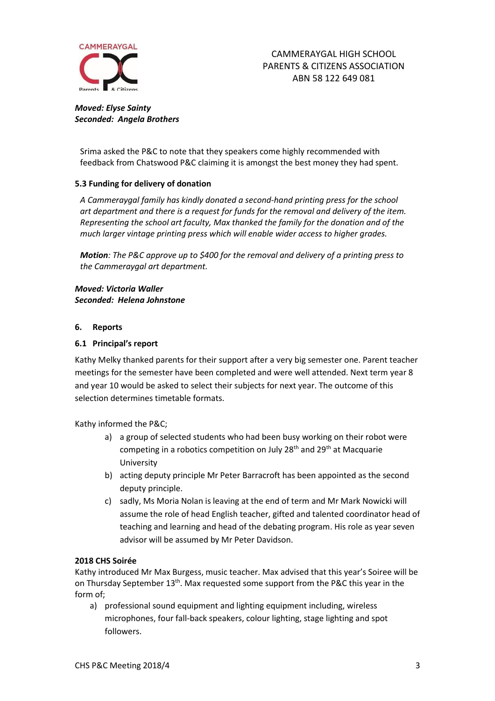

*Moved: Elyse Sainty Seconded: Angela Brothers*

Srima asked the P&C to note that they speakers come highly recommended with feedback from Chatswood P&C claiming it is amongst the best money they had spent.

## **5.3 Funding for delivery of donation**

*A Cammeraygal family has kindly donated a second-hand printing press for the school art department and there is a request for funds for the removal and delivery of the item. Representing the school art faculty, Max thanked the family for the donation and of the much larger vintage printing press which will enable wider access to higher grades.*

*Motion: The P&C approve up to \$400 for the removal and delivery of a printing press to the Cammeraygal art department.* 

*Moved: Victoria Waller Seconded: Helena Johnstone*

#### **6. Reports**

#### **6.1 Principal's report**

Kathy Melky thanked parents for their support after a very big semester one. Parent teacher meetings for the semester have been completed and were well attended. Next term year 8 and year 10 would be asked to select their subjects for next year. The outcome of this selection determines timetable formats.

Kathy informed the P&C;

- a) a group of selected students who had been busy working on their robot were competing in a robotics competition on July  $28<sup>th</sup>$  and  $29<sup>th</sup>$  at Macquarie University
- b) acting deputy principle Mr Peter Barracroft has been appointed as the second deputy principle.
- c) sadly, Ms Moria Nolan is leaving at the end of term and Mr Mark Nowicki will assume the role of head English teacher, gifted and talented coordinator head of teaching and learning and head of the debating program. His role as year seven advisor will be assumed by Mr Peter Davidson.

### **2018 CHS Soirée**

Kathy introduced Mr Max Burgess, music teacher. Max advised that this year's Soiree will be on Thursday September 13<sup>th</sup>. Max requested some support from the P&C this year in the form of;

a) professional sound equipment and lighting equipment including, wireless microphones, four fall-back speakers, colour lighting, stage lighting and spot followers.